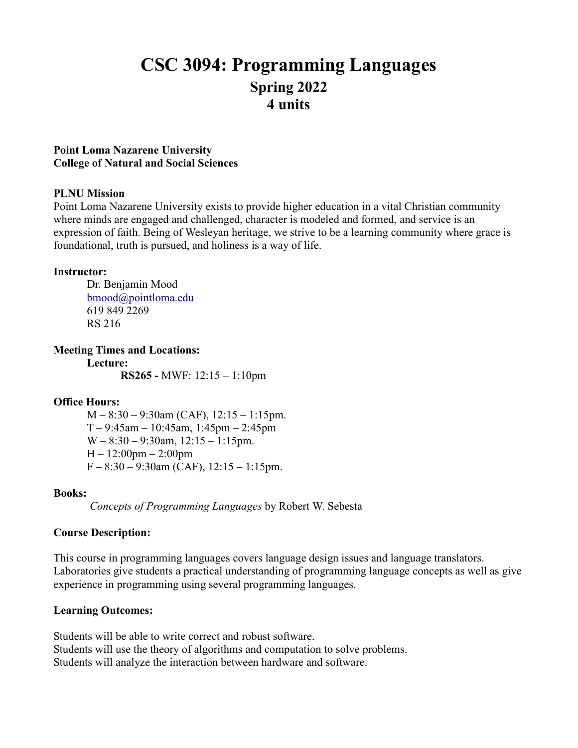# **CSC 3094: Programming Languages Spring 2022 4 units**

### **Point Loma Nazarene University College of Natural and Social Sciences**

### **PLNU Mission**

Point Loma Nazarene University exists to provide higher education in a vital Christian community where minds are engaged and challenged, character is modeled and formed, and service is an expression of faith. Being of Wesleyan heritage, we strive to be a learning community where grace is foundational, truth is pursued, and holiness is a way of life.

#### **Instructor:**

Dr. Benjamin Mood [bmood@pointloma.edu](mailto:bmood@pointloma.edu) 619 849 2269 RS 216

**Meeting Times and Locations:**

**Lecture: RS265 -** MWF: 12:15 – 1:10pm

### **Office Hours:**

M – 8:30 – 9:30am (CAF), 12:15 – 1:15pm.  $T - 9:45$ am – 10:45am, 1:45pm – 2:45pm  $W - 8:30 - 9:30$ am,  $12:15 - 1:15$ pm.  $H - 12:00$ pm  $- 2:00$ pm  $F - 8:30 - 9:30$ am (CAF), 12:15 – 1:15pm.

### **Books:**

*Concepts of Programming Languages* by Robert W. Sebesta

### **Course Description:**

This course in programming languages covers language design issues and language translators. Laboratories give students a practical understanding of programming language concepts as well as give experience in programming using several programming languages.

### **Learning Outcomes:**

Students will be able to write correct and robust software. Students will use the theory of algorithms and computation to solve problems. Students will analyze the interaction between hardware and software.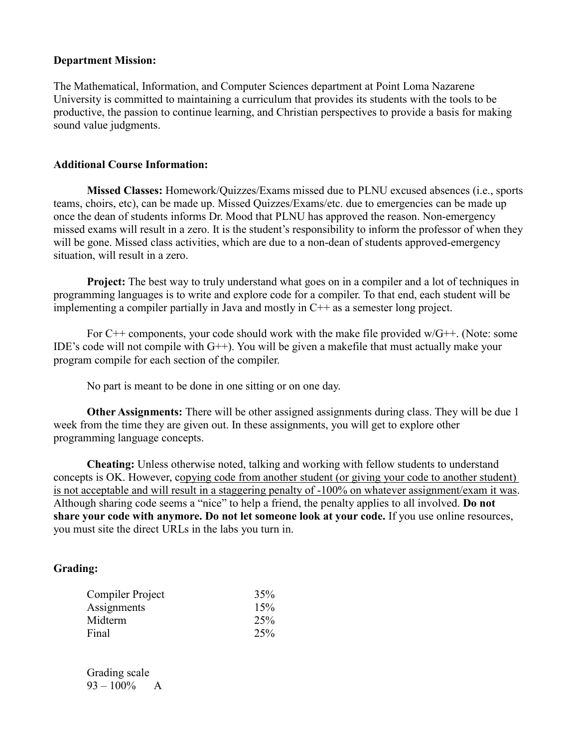#### **Department Mission:**

The Mathematical, Information, and Computer Sciences department at Point Loma Nazarene University is committed to maintaining a curriculum that provides its students with the tools to be productive, the passion to continue learning, and Christian perspectives to provide a basis for making sound value judgments.

#### **Additional Course Information:**

**Missed Classes:** Homework/Quizzes/Exams missed due to PLNU excused absences (i.e., sports teams, choirs, etc), can be made up. Missed Quizzes/Exams/etc. due to emergencies can be made up once the dean of students informs Dr. Mood that PLNU has approved the reason. Non-emergency missed exams will result in a zero. It is the student's responsibility to inform the professor of when they will be gone. Missed class activities, which are due to a non-dean of students approved-emergency situation, will result in a zero.

**Project:** The best way to truly understand what goes on in a compiler and a lot of techniques in programming languages is to write and explore code for a compiler. To that end, each student will be implementing a compiler partially in Java and mostly in  $C++$  as a semester long project.

For C++ components, your code should work with the make file provided w/G++. (Note: some IDE's code will not compile with  $G++$ ). You will be given a makefile that must actually make your program compile for each section of the compiler.

No part is meant to be done in one sitting or on one day.

**Other Assignments:** There will be other assigned assignments during class. They will be due 1 week from the time they are given out. In these assignments, you will get to explore other programming language concepts.

**Cheating:** Unless otherwise noted, talking and working with fellow students to understand concepts is OK. However, copying code from another student (or giving your code to another student) is not acceptable and will result in a staggering penalty of -100% on whatever assignment/exam it was. Although sharing code seems a "nice" to help a friend, the penalty applies to all involved. **Do not share your code with anymore. Do not let someone look at your code.** If you use online resources, you must site the direct URLs in the labs you turn in.

### **Grading:**

| 35% |
|-----|
| 15% |
| 25% |
| 25% |
|     |

Grading scale  $93 - 100\%$  A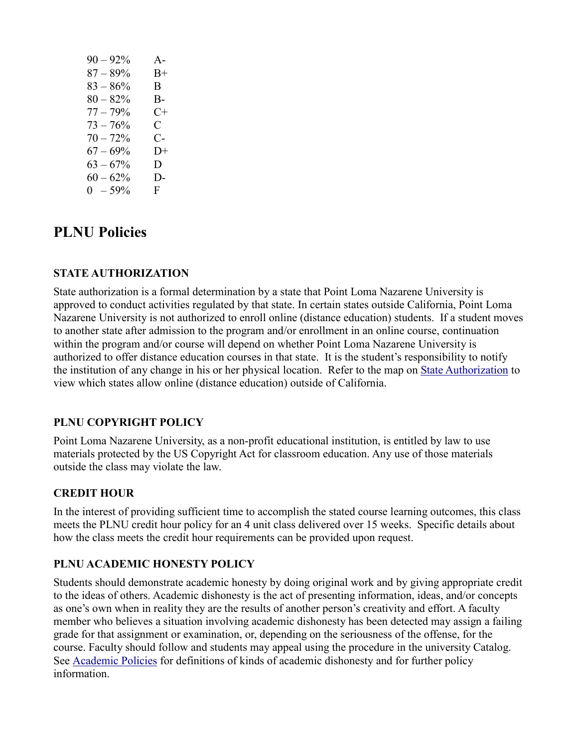| $90 - 92\%$ | $A -$        |
|-------------|--------------|
| $87 - 89\%$ | $B+$         |
| $83 - 86\%$ | B            |
| $80 - 82%$  | B-           |
| $77 - 79%$  | C+           |
| $73 - 76%$  | $\mathbf C$  |
| $70 - 72%$  | С-           |
| $67 - 69\%$ | $1) +$       |
| $63 - 67\%$ | D            |
| $60 - 62\%$ | $D-$         |
| $0 - 59\%$  | $\mathbf{F}$ |

## **PLNU Policies**

### **STATE AUTHORIZATION**

State authorization is a formal determination by a state that Point Loma Nazarene University is approved to conduct activities regulated by that state. In certain states outside California, Point Loma Nazarene University is not authorized to enroll online (distance education) students. If a student moves to another state after admission to the program and/or enrollment in an online course, continuation within the program and/or course will depend on whether Point Loma Nazarene University is authorized to offer distance education courses in that state. It is the student's responsibility to notify the institution of any change in his or her physical location. Refer to the map on [State Authorization](https://www.pointloma.edu/offices/office-institutional-effectiveness-research/disclosures) to view which states allow online (distance education) outside of California.

### **PLNU COPYRIGHT POLICY**

Point Loma Nazarene University, as a non-profit educational institution, is entitled by law to use materials protected by the US Copyright Act for classroom education. Any use of those materials outside the class may violate the law.

### **CREDIT HOUR**

In the interest of providing sufficient time to accomplish the stated course learning outcomes, this class meets the PLNU credit hour policy for an 4 unit class delivered over 15 weeks. Specific details about how the class meets the credit hour requirements can be provided upon request.

### **PLNU ACADEMIC HONESTY POLICY**

Students should demonstrate academic honesty by doing original work and by giving appropriate credit to the ideas of others. Academic dishonesty is the act of presenting information, ideas, and/or concepts as one's own when in reality they are the results of another person's creativity and effort. A faculty member who believes a situation involving academic dishonesty has been detected may assign a failing grade for that assignment or examination, or, depending on the seriousness of the offense, for the course. Faculty should follow and students may appeal using the procedure in the university Catalog. See [Academic Policies](https://catalog.pointloma.edu/content.php?catoid=52&navoid=2919#Academic_Honesty) for definitions of kinds of academic dishonesty and for further policy information.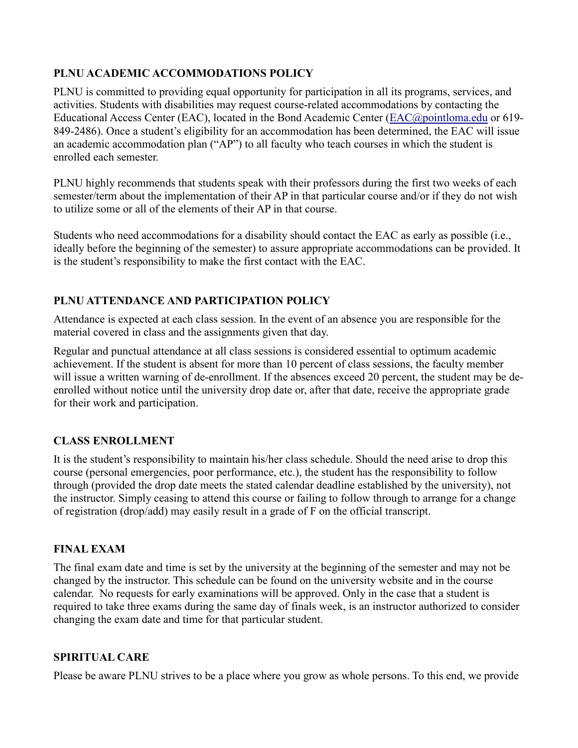### **PLNU ACADEMIC ACCOMMODATIONS POLICY**

PLNU is committed to providing equal opportunity for participation in all its programs, services, and activities. Students with disabilities may request course-related accommodations by contacting the Educational Access Center (EAC), located in the Bond Academic Center [\(EAC@pointloma.edu](mailto:EAC@pointloma.edu) or 619- 849-2486). Once a student's eligibility for an accommodation has been determined, the EAC will issue an academic accommodation plan ("AP") to all faculty who teach courses in which the student is enrolled each semester.

PLNU highly recommends that students speak with their professors during the first two weeks of each semester/term about the implementation of their AP in that particular course and/or if they do not wish to utilize some or all of the elements of their AP in that course.

Students who need accommodations for a disability should contact the EAC as early as possible (i.e., ideally before the beginning of the semester) to assure appropriate accommodations can be provided. It is the student's responsibility to make the first contact with the EAC.

### **PLNU ATTENDANCE AND PARTICIPATION POLICY**

Attendance is expected at each class session. In the event of an absence you are responsible for the material covered in class and the assignments given that day.

Regular and punctual attendance at all class sessions is considered essential to optimum academic achievement. If the student is absent for more than 10 percent of class sessions, the faculty member will issue a written warning of de-enrollment. If the absences exceed 20 percent, the student may be deenrolled without notice until the university drop date or, after that date, receive the appropriate grade for their work and participation.

### **CLASS ENROLLMENT**

It is the student's responsibility to maintain his/her class schedule. Should the need arise to drop this course (personal emergencies, poor performance, etc.), the student has the responsibility to follow through (provided the drop date meets the stated calendar deadline established by the university), not the instructor. Simply ceasing to attend this course or failing to follow through to arrange for a change of registration (drop/add) may easily result in a grade of F on the official transcript.

### **FINAL EXAM**

The final exam date and time is set by the university at the beginning of the semester and may not be changed by the instructor. This schedule can be found on the university website and in the course calendar. No requests for early examinations will be approved. Only in the case that a student is required to take three exams during the same day of finals week, is an instructor authorized to consider changing the exam date and time for that particular student.

### **SPIRITUAL CARE**

Please be aware PLNU strives to be a place where you grow as whole persons. To this end, we provide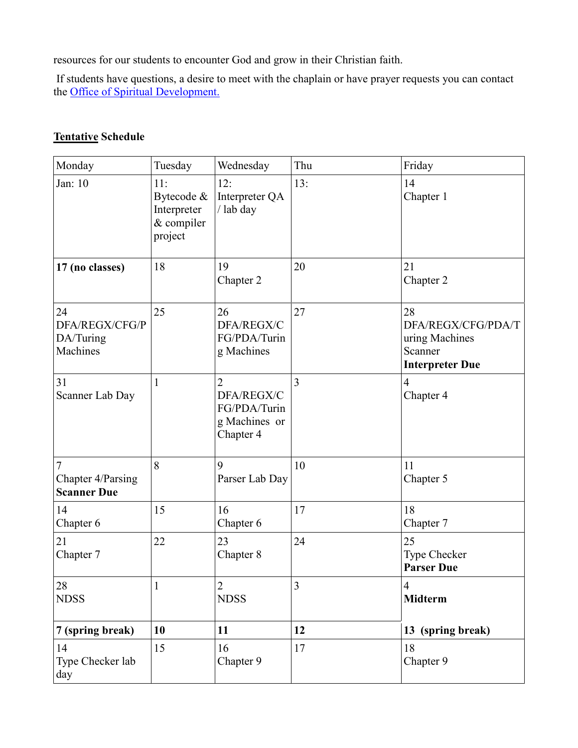resources for our students to encounter God and grow in their Christian faith.

If students have questions, a desire to meet with the chaplain or have prayer requests you can contact the Office of Spiritual Development.

### **Tentative Schedule**

| Monday                                                    | Tuesday                                                   | Wednesday                                                                  | Thu | Friday                                                                          |
|-----------------------------------------------------------|-----------------------------------------------------------|----------------------------------------------------------------------------|-----|---------------------------------------------------------------------------------|
| Jan: 10                                                   | 11:<br>Bytecode &<br>Interpreter<br>& compiler<br>project | 12:<br>Interpreter QA<br>/ lab day                                         | 13: | 14<br>Chapter 1                                                                 |
| 17 (no classes)                                           | 18                                                        | 19<br>Chapter 2                                                            | 20  | 21<br>Chapter 2                                                                 |
| 24<br>DFA/REGX/CFG/P<br>DA/Turing<br>Machines             | 25                                                        | 26<br>DFA/REGX/C<br>FG/PDA/Turin<br>g Machines                             | 27  | 28<br>DFA/REGX/CFG/PDA/T<br>uring Machines<br>Scanner<br><b>Interpreter Due</b> |
| 31<br>Scanner Lab Day                                     | 1                                                         | $\overline{2}$<br>DFA/REGX/C<br>FG/PDA/Turin<br>g Machines or<br>Chapter 4 | 3   | $\overline{4}$<br>Chapter 4                                                     |
| $\overline{7}$<br>Chapter 4/Parsing<br><b>Scanner Due</b> | 8                                                         | 9<br>Parser Lab Day                                                        | 10  | 11<br>Chapter 5                                                                 |
| 14<br>Chapter 6                                           | 15                                                        | 16<br>Chapter 6                                                            | 17  | 18<br>Chapter 7                                                                 |
| 21<br>Chapter 7                                           | 22                                                        | 23<br>Chapter 8                                                            | 24  | 25<br>Type Checker<br><b>Parser Due</b>                                         |
| 28<br><b>NDSS</b>                                         | 1                                                         | $\overline{2}$<br><b>NDSS</b>                                              | 3   | $\overline{4}$<br><b>Midterm</b>                                                |
| 7 (spring break)                                          | 10                                                        | 11                                                                         | 12  | 13 (spring break)                                                               |
| 14<br>Type Checker lab<br>day                             | 15                                                        | 16<br>Chapter 9                                                            | 17  | 18<br>Chapter 9                                                                 |